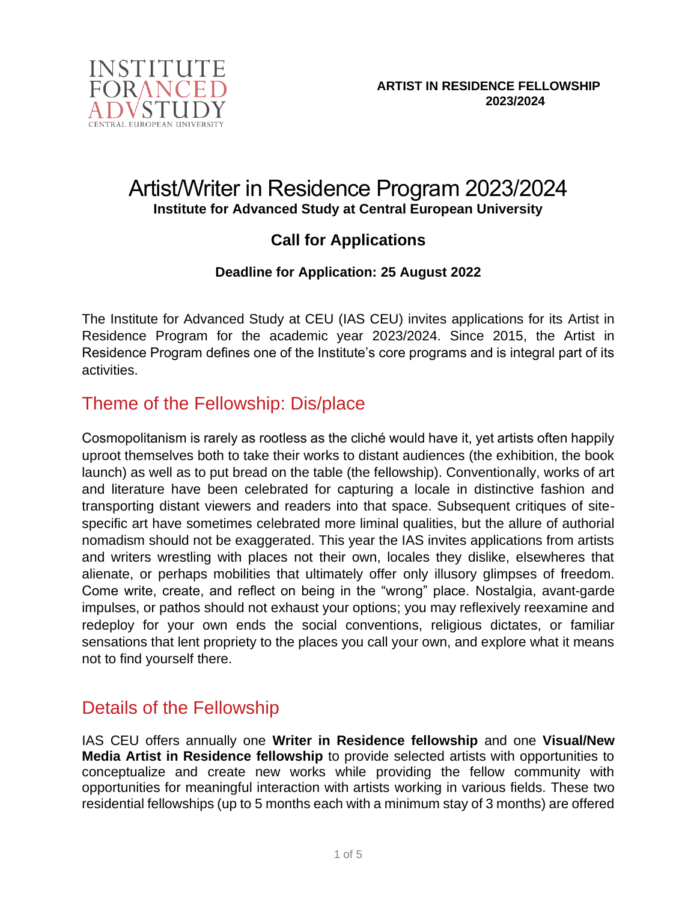

# Artist/Writer in Residence Program 2023/2024 **Institute for Advanced Study at Central European University**

### **Call for Applications**

### **Deadline for Application: 25 August 2022**

The Institute for Advanced Study at CEU (IAS CEU) invites applications for its Artist in Residence Program for the academic year 2023/2024. Since 2015, the Artist in Residence Program defines one of the Institute's core programs and is integral part of its activities.

# Theme of the Fellowship: Dis/place

Cosmopolitanism is rarely as rootless as the cliché would have it, yet artists often happily uproot themselves both to take their works to distant audiences (the exhibition, the book launch) as well as to put bread on the table (the fellowship). Conventionally, works of art and literature have been celebrated for capturing a locale in distinctive fashion and transporting distant viewers and readers into that space. Subsequent critiques of sitespecific art have sometimes celebrated more liminal qualities, but the allure of authorial nomadism should not be exaggerated. This year the IAS invites applications from artists and writers wrestling with places not their own, locales they dislike, elsewheres that alienate, or perhaps mobilities that ultimately offer only illusory glimpses of freedom. Come write, create, and reflect on being in the "wrong" place. Nostalgia, avant-garde impulses, or pathos should not exhaust your options; you may reflexively reexamine and redeploy for your own ends the social conventions, religious dictates, or familiar sensations that lent propriety to the places you call your own, and explore what it means not to find yourself there.

# Details of the Fellowship

IAS CEU offers annually one **Writer in Residence fellowship** and one **Visual/New Media Artist in Residence fellowship** to provide selected artists with opportunities to conceptualize and create new works while providing the fellow community with opportunities for meaningful interaction with artists working in various fields. These two residential fellowships (up to 5 months each with a minimum stay of 3 months) are offered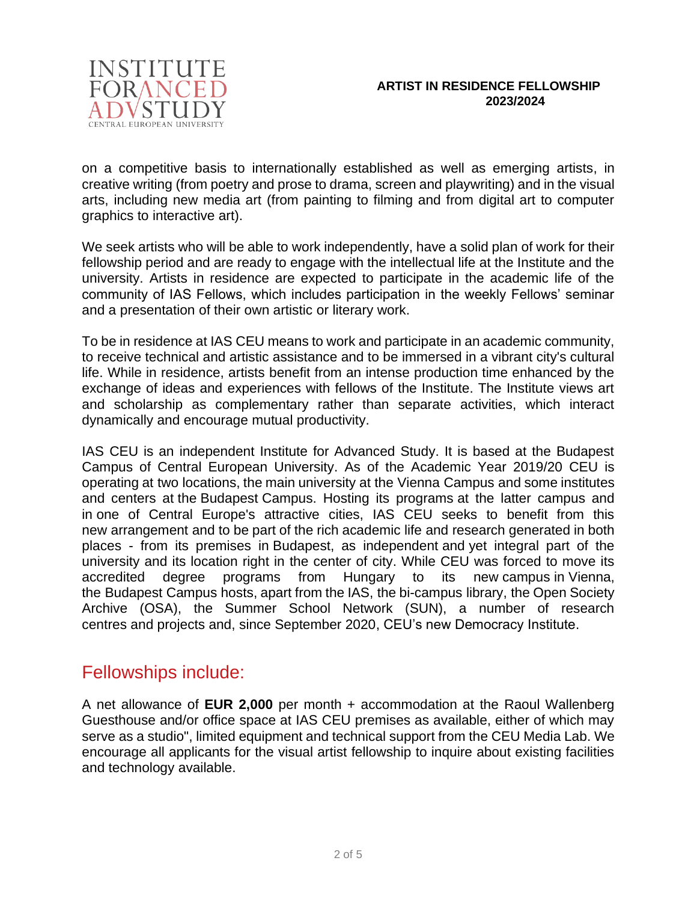

on a competitive basis to internationally established as well as emerging artists, in creative writing (from poetry and prose to drama, screen and playwriting) and in the visual arts, including new media art (from painting to filming and from digital art to computer graphics to interactive art).

We seek artists who will be able to work independently, have a solid plan of work for their fellowship period and are ready to engage with the intellectual life at the Institute and the university. Artists in residence are expected to participate in the academic life of the community of IAS Fellows, which includes participation in the weekly Fellows' seminar and a presentation of their own artistic or literary work.

To be in residence at IAS CEU means to work and participate in an academic community, to receive technical and artistic assistance and to be immersed in a vibrant city's cultural life. While in residence, artists benefit from an intense production time enhanced by the exchange of ideas and experiences with fellows of the Institute. The Institute views art and scholarship as complementary rather than separate activities, which interact dynamically and encourage mutual productivity.

IAS CEU is an independent Institute for Advanced Study. It is based at the Budapest Campus of Central European University. As of the Academic Year 2019/20 CEU is operating at two locations, the main university at the Vienna Campus and some institutes and centers at the Budapest Campus. Hosting its programs at the latter campus and in one of Central Europe's attractive cities, IAS CEU seeks to benefit from this new arrangement and to be part of the rich academic life and research generated in both places - from its premises in Budapest, as independent and yet integral part of the university and its location right in the center of city. While CEU was forced to move its accredited degree programs from Hungary to its new campus in Vienna, the Budapest Campus hosts, apart from the IAS, the bi-campus library, the Open Society Archive (OSA), the Summer School Network (SUN), a number of research centres and projects and, since September 2020, CEU's new Democracy Institute.

### Fellowships include:

A net allowance of **EUR 2,000** per month + accommodation at the Raoul Wallenberg Guesthouse and/or office space at IAS CEU premises as available, either of which may serve as a studio", limited equipment and technical support from the CEU Media Lab. We encourage all applicants for the visual artist fellowship to inquire about existing facilities and technology available.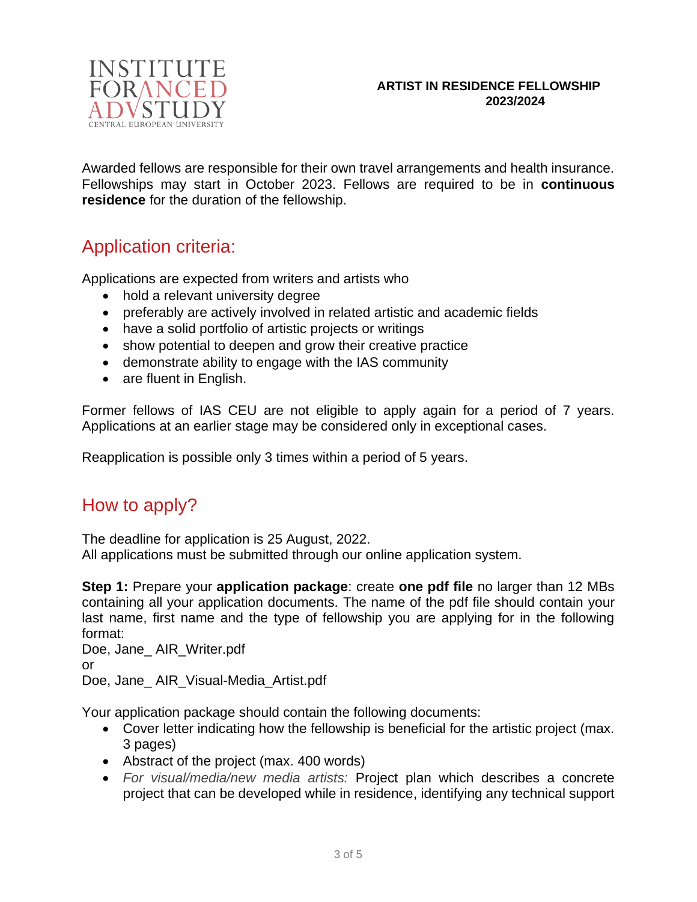

#### **ARTIST IN RESIDENCE FELLOWSHIP 2023/2024**

Awarded fellows are responsible for their own travel arrangements and health insurance. Fellowships may start in October 2023. Fellows are required to be in **continuous residence** for the duration of the fellowship.

# Application criteria:

Applications are expected from writers and artists who

- hold a relevant university degree
- preferably are actively involved in related artistic and academic fields
- have a solid portfolio of artistic projects or writings
- show potential to deepen and grow their creative practice
- demonstrate ability to engage with the IAS community
- are fluent in English.

Former fellows of IAS CEU are not eligible to apply again for a period of 7 years. Applications at an earlier stage may be considered only in exceptional cases.

Reapplication is possible only 3 times within a period of 5 years.

# How to apply?

The deadline for application is 25 August, 2022. All applications must be submitted through our online application system.

**Step 1:** Prepare your **application package**: create **one pdf file** no larger than 12 MBs containing all your application documents. The name of the pdf file should contain your last name, first name and the type of fellowship you are applying for in the following format:

Doe, Jane\_ AIR\_Writer.pdf or Doe, Jane\_ AIR\_Visual-Media\_Artist.pdf

Your application package should contain the following documents:

- Cover letter indicating how the fellowship is beneficial for the artistic project (max. 3 pages)
- Abstract of the project (max. 400 words)
- *For visual/media/new media artists:* Project plan which describes a concrete project that can be developed while in residence, identifying any technical support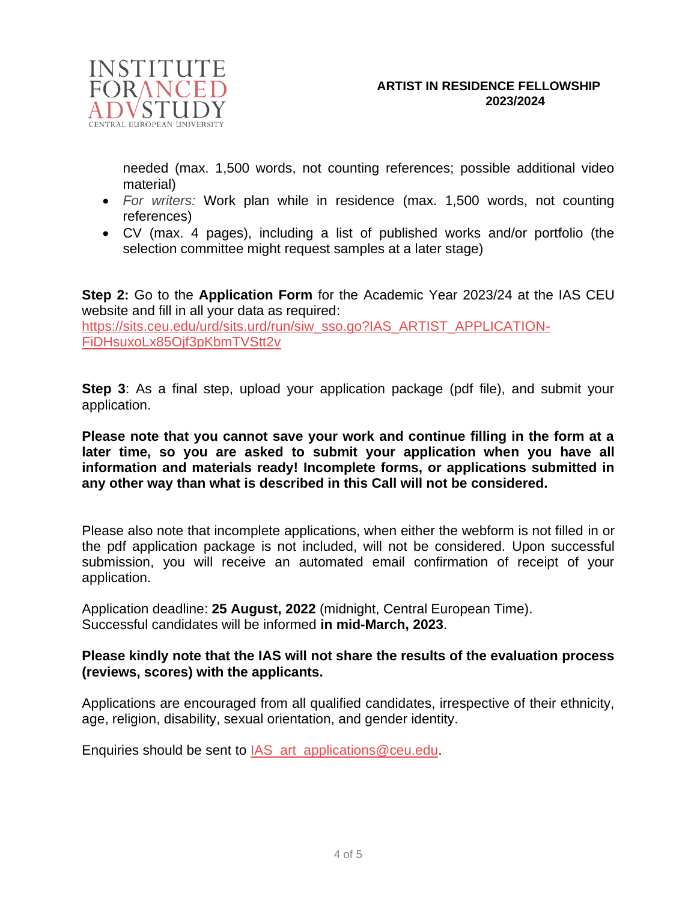

needed (max. 1,500 words, not counting references; possible additional video material)

- *For writers:* Work plan while in residence (max. 1,500 words, not counting references)
- CV (max. 4 pages), including a list of published works and/or portfolio (the selection committee might request samples at a later stage)

**Step 2:** Go to the **Application Form** for the Academic Year 2023/24 at the IAS CEU website and fill in all your data as required: [https://sits.ceu.edu/urd/sits.urd/run/siw\\_sso.go?IAS\\_ARTIST\\_APPLICATION-](https://sits.ceu.edu/urd/sits.urd/run/siw_sso.go?IAS_ARTIST_APPLICATION-FiDHsuxoLx85Ojf3pKbmTVStt2v)[FiDHsuxoLx85Ojf3pKbmTVStt2v](https://sits.ceu.edu/urd/sits.urd/run/siw_sso.go?IAS_ARTIST_APPLICATION-FiDHsuxoLx85Ojf3pKbmTVStt2v)

**Step 3**: As a final step, upload your application package (pdf file), and submit your application.

**Please note that you cannot save your work and continue filling in the form at a later time, so you are asked to submit your application when you have all information and materials ready! Incomplete forms, or applications submitted in any other way than what is described in this Call will not be considered.**

Please also note that incomplete applications, when either the webform is not filled in or the pdf application package is not included, will not be considered. Upon successful submission, you will receive an automated email confirmation of receipt of your application.

Application deadline: **25 August, 2022** (midnight, Central European Time). Successful candidates will be informed **in mid-March, 2023**.

#### **Please kindly note that the IAS will not share the results of the evaluation process (reviews, scores) with the applicants.**

Applications are encouraged from all qualified candidates, irrespective of their ethnicity, age, religion, disability, sexual orientation, and gender identity.

Enquiries should be sent to IAS art applications@ceu.edu.